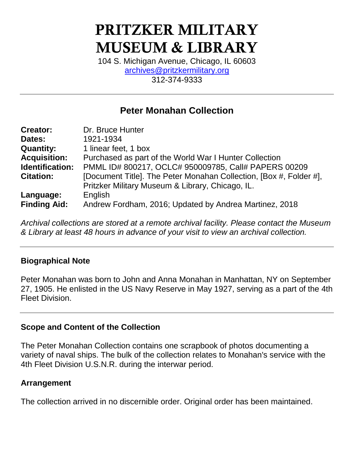# PRITZKER MILITARY MUSEUM & LIBRARY

104 S. Michigan Avenue, Chicago, IL 60603 [archives@pritzkermilitary.org](mailto:archives@pritzkermilitary.org) 312-374-9333

# **Peter Monahan Collection**

| <b>Creator:</b>     | Dr. Bruce Hunter                                                   |  |  |
|---------------------|--------------------------------------------------------------------|--|--|
| Dates:              | 1921-1934                                                          |  |  |
| <b>Quantity:</b>    | 1 linear feet, 1 box                                               |  |  |
| <b>Acquisition:</b> | Purchased as part of the World War I Hunter Collection             |  |  |
| Identification:     | PMML ID# 800217, OCLC# 950009785, Call# PAPERS 00209               |  |  |
| <b>Citation:</b>    | [Document Title]. The Peter Monahan Collection, [Box #, Folder #], |  |  |
|                     | Pritzker Military Museum & Library, Chicago, IL.                   |  |  |
| Language:           | English                                                            |  |  |
| <b>Finding Aid:</b> | Andrew Fordham, 2016; Updated by Andrea Martinez, 2018             |  |  |

*Archival collections are stored at a remote archival facility. Please contact the Museum & Library at least 48 hours in advance of your visit to view an archival collection.*

#### **Biographical Note**

Peter Monahan was born to John and Anna Monahan in Manhattan, NY on September 27, 1905. He enlisted in the US Navy Reserve in May 1927, serving as a part of the 4th Fleet Division.

#### **Scope and Content of the Collection**

The Peter Monahan Collection contains one scrapbook of photos documenting a variety of naval ships. The bulk of the collection relates to Monahan's service with the 4th Fleet Division U.S.N.R. during the interwar period.

#### **Arrangement**

The collection arrived in no discernible order. Original order has been maintained.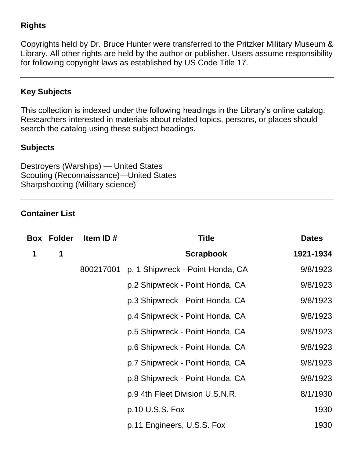## **Rights**

Copyrights held by Dr. Bruce Hunter were transferred to the Pritzker Military Museum & Library. All other rights are held by the author or publisher. Users assume responsibility for following copyright laws as established by US Code Title 17.

## **Key Subjects**

This collection is indexed under the following headings in the Library's online catalog. Researchers interested in materials about related topics, persons, or places should search the catalog using these subject headings.

#### **Subjects**

Destroyers (Warships) — United States Scouting (Reconnaissance)—United States Sharpshooting (Military science)

#### **Container List**

| Box | <b>Folder</b> | Item ID#  | <b>Title</b>                     | <b>Dates</b> |
|-----|---------------|-----------|----------------------------------|--------------|
| 1   | 1             |           | <b>Scrapbook</b>                 | 1921-1934    |
|     |               | 800217001 | p. 1 Shipwreck - Point Honda, CA | 9/8/1923     |
|     |               |           | p.2 Shipwreck - Point Honda, CA  | 9/8/1923     |
|     |               |           | p.3 Shipwreck - Point Honda, CA  | 9/8/1923     |
|     |               |           | p.4 Shipwreck - Point Honda, CA  | 9/8/1923     |
|     |               |           | p.5 Shipwreck - Point Honda, CA  | 9/8/1923     |
|     |               |           | p.6 Shipwreck - Point Honda, CA  | 9/8/1923     |
|     |               |           | p.7 Shipwreck - Point Honda, CA  | 9/8/1923     |
|     |               |           | p.8 Shipwreck - Point Honda, CA  | 9/8/1923     |
|     |               |           | p.9 4th Fleet Division U.S.N.R.  | 8/1/1930     |
|     |               |           | p.10 U.S.S. Fox                  | 1930         |
|     |               |           | p.11 Engineers, U.S.S. Fox       | 1930         |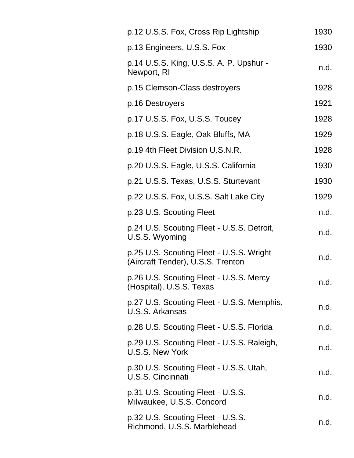| p.12 U.S.S. Fox, Cross Rip Lightship                                          | 1930 |
|-------------------------------------------------------------------------------|------|
| p.13 Engineers, U.S.S. Fox                                                    | 1930 |
| p.14 U.S.S. King, U.S.S. A. P. Upshur -<br>Newport, RI                        | n.d. |
| p.15 Clemson-Class destroyers                                                 | 1928 |
| p.16 Destroyers                                                               | 1921 |
| p.17 U.S.S. Fox, U.S.S. Toucey                                                | 1928 |
| p.18 U.S.S. Eagle, Oak Bluffs, MA                                             | 1929 |
| p.19 4th Fleet Division U.S.N.R.                                              | 1928 |
| p.20 U.S.S. Eagle, U.S.S. California                                          | 1930 |
| p.21 U.S.S. Texas, U.S.S. Sturtevant                                          | 1930 |
| p.22 U.S.S. Fox, U.S.S. Salt Lake City                                        | 1929 |
| p.23 U.S. Scouting Fleet                                                      | n.d. |
| p.24 U.S. Scouting Fleet - U.S.S. Detroit,<br>U.S.S. Wyoming                  | n.d. |
| p.25 U.S. Scouting Fleet - U.S.S. Wright<br>(Aircraft Tender), U.S.S. Trenton | n.d. |
| p.26 U.S. Scouting Fleet - U.S.S. Mercy<br>(Hospital), U.S.S. Texas           | n.d. |
| p.27 U.S. Scouting Fleet - U.S.S. Memphis,<br>U.S.S. Arkansas                 | n.d. |
| p.28 U.S. Scouting Fleet - U.S.S. Florida                                     | n.d. |
| p.29 U.S. Scouting Fleet - U.S.S. Raleigh,<br><b>U.S.S. New York</b>          | n.d. |
| p.30 U.S. Scouting Fleet - U.S.S. Utah,<br><b>U.S.S. Cincinnati</b>           | n.d. |
| p.31 U.S. Scouting Fleet - U.S.S.<br>Milwaukee, U.S.S. Concord                | n.d. |
| p.32 U.S. Scouting Fleet - U.S.S.<br>Richmond, U.S.S. Marblehead              | n.d. |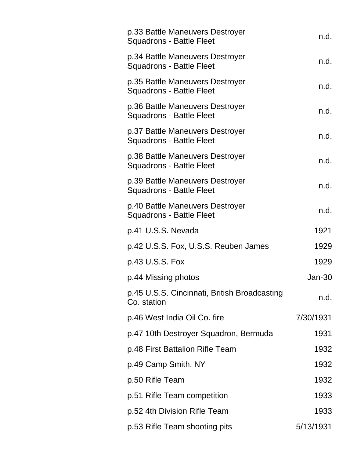| p.33 Battle Maneuvers Destroyer<br><b>Squadrons - Battle Fleet</b> | n.d.      |
|--------------------------------------------------------------------|-----------|
| p.34 Battle Maneuvers Destroyer<br><b>Squadrons - Battle Fleet</b> | n.d.      |
| p.35 Battle Maneuvers Destroyer<br><b>Squadrons - Battle Fleet</b> | n.d.      |
| p.36 Battle Maneuvers Destroyer<br><b>Squadrons - Battle Fleet</b> | n.d.      |
| p.37 Battle Maneuvers Destroyer<br><b>Squadrons - Battle Fleet</b> | n.d.      |
| p.38 Battle Maneuvers Destroyer<br><b>Squadrons - Battle Fleet</b> | n.d.      |
| p.39 Battle Maneuvers Destroyer<br><b>Squadrons - Battle Fleet</b> | n.d.      |
| p.40 Battle Maneuvers Destroyer<br><b>Squadrons - Battle Fleet</b> | n.d.      |
| p.41 U.S.S. Nevada                                                 | 1921      |
| p.42 U.S.S. Fox, U.S.S. Reuben James                               | 1929      |
| p.43 U.S.S. Fox                                                    | 1929      |
| p.44 Missing photos                                                | Jan-30    |
| p.45 U.S.S. Cincinnati, British Broadcasting<br>Co. station        | n.d.      |
| p.46 West India Oil Co. fire                                       | 7/30/1931 |
| p.47 10th Destroyer Squadron, Bermuda                              | 1931      |
| p.48 First Battalion Rifle Team                                    | 1932      |
| p.49 Camp Smith, NY                                                | 1932      |
| p.50 Rifle Team                                                    | 1932      |
| p.51 Rifle Team competition                                        | 1933      |
| p.52 4th Division Rifle Team                                       | 1933      |
| p.53 Rifle Team shooting pits                                      | 5/13/1931 |